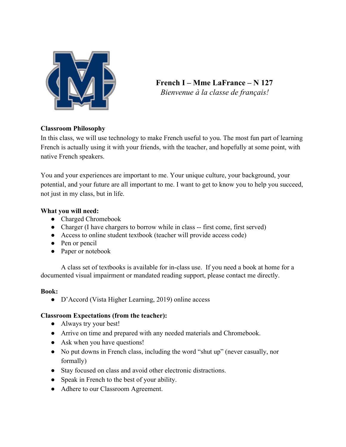

**French I – Mme LaFrance – N 127** *Bienvenue à la classe de français!*

# **Classroom Philosophy**

In this class, we will use technology to make French useful to you. The most fun part of learning French is actually using it with your friends, with the teacher, and hopefully at some point, with native French speakers.

You and your experiences are important to me. Your unique culture, your background, your potential, and your future are all important to me. I want to get to know you to help you succeed, not just in my class, but in life.

## **What you will need:**

- Charged Chromebook
- Charger (I have chargers to borrow while in class -- first come, first served)
- Access to online student textbook (teacher will provide access code)
- Pen or pencil
- Paper or notebook

A class set of textbooks is available for in-class use. If you need a book at home for a documented visual impairment or mandated reading support, please contact me directly.

## **Book:**

● D'Accord (Vista Higher Learning, 2019) online access

# **Classroom Expectations (from the teacher):**

- Always try your best!
- Arrive on time and prepared with any needed materials and Chromebook.
- Ask when you have questions!
- No put downs in French class, including the word "shut up" (never casually, nor formally)
- Stay focused on class and avoid other electronic distractions.
- Speak in French to the best of your ability.
- Adhere to our Classroom Agreement.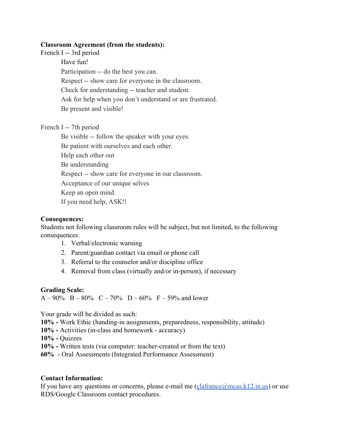#### **Classroom Agreement (from the students):**

French I -- 3rd period Have fun! Participation -- do the best you can. Respect -- show care for everyone in the classroom. Check for understanding -- teacher and student. Ask for help when you don't understand or are frustrated. Be present and visible!

French I -- 7th period

Be visible -- follow the speaker with your eyes. Be patient with ourselves and each other. Help each other out Be understanding Respect -- show care for everyone in our classroom. Acceptance of our unique selves Keep an open mind. If you need help, ASK!!

## **Consequences:**

Students not following classroom rules will be subject, but not limited, to the following consequences:

- 1. Verbal/electronic warning
- 2. Parent/guardian contact via email or phone call
- 3. Referral to the counselor and/or discipline office
- 4. Removal from class (virtually and/or in-person), if necessary

#### **Grading Scale:**

 $A - 90\%$  B – 80% C – 70% D – 60% F – 59% and lower

Your grade will be divided as such:

**10% -** Work Ethic (handing-in assignments, preparedness, responsibility, attitude)

**10% -** Activities (in-class and homework - accuracy)

**10% -** Quizzes

**10% -** Written tests (via computer: teacher-created or from the text)

**60%** - Oral Assessments (Integrated Performance Assessment)

#### **Contact Information:**

If you have any questions or concerns, please e-mail me  $(claframe@mcas.k12.in.us)$  or use RDS/Google Classroom contact procedures.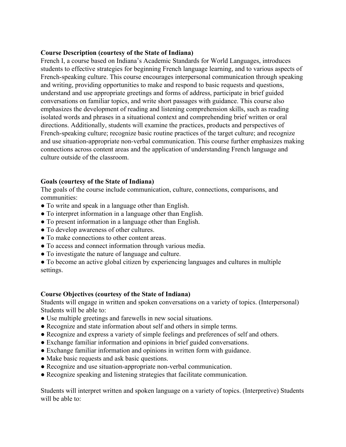## **Course Description (courtesy of the State of Indiana)**

French I, a course based on Indiana's Academic Standards for World Languages, introduces students to effective strategies for beginning French language learning, and to various aspects of French-speaking culture. This course encourages interpersonal communication through speaking and writing, providing opportunities to make and respond to basic requests and questions, understand and use appropriate greetings and forms of address, participate in brief guided conversations on familiar topics, and write short passages with guidance. This course also emphasizes the development of reading and listening comprehension skills, such as reading isolated words and phrases in a situational context and comprehending brief written or oral directions. Additionally, students will examine the practices, products and perspectives of French-speaking culture; recognize basic routine practices of the target culture; and recognize and use situation-appropriate non-verbal communication. This course further emphasizes making connections across content areas and the application of understanding French language and culture outside of the classroom.

## **Goals (courtesy of the State of Indiana)**

The goals of the course include communication, culture, connections, comparisons, and communities:

- To write and speak in a language other than English.
- To interpret information in a language other than English.
- To present information in a language other than English.
- To develop awareness of other cultures.
- To make connections to other content areas.
- To access and connect information through various media.
- To investigate the nature of language and culture.

● To become an active global citizen by experiencing languages and cultures in multiple settings.

#### **Course Objectives (courtesy of the State of Indiana)**

Students will engage in written and spoken conversations on a variety of topics. (Interpersonal) Students will be able to:

- Use multiple greetings and farewells in new social situations.
- Recognize and state information about self and others in simple terms.
- Recognize and express a variety of simple feelings and preferences of self and others.
- Exchange familiar information and opinions in brief guided conversations.
- Exchange familiar information and opinions in written form with guidance.
- Make basic requests and ask basic questions.
- Recognize and use situation-appropriate non-verbal communication.
- Recognize speaking and listening strategies that facilitate communication.

Students will interpret written and spoken language on a variety of topics. (Interpretive) Students will be able to: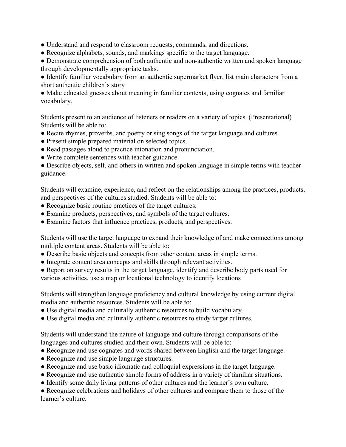- Understand and respond to classroom requests, commands, and directions.
- Recognize alphabets, sounds, and markings specific to the target language.

• Demonstrate comprehension of both authentic and non-authentic written and spoken language through developmentally appropriate tasks.

● Identify familiar vocabulary from an authentic supermarket flyer, list main characters from a short authentic children's story

● Make educated guesses about meaning in familiar contexts, using cognates and familiar vocabulary.

Students present to an audience of listeners or readers on a variety of topics. (Presentational) Students will be able to:

- Recite rhymes, proverbs, and poetry or sing songs of the target language and cultures.
- Present simple prepared material on selected topics.
- Read passages aloud to practice intonation and pronunciation.
- Write complete sentences with teacher guidance.

• Describe objects, self, and others in written and spoken language in simple terms with teacher guidance.

Students will examine, experience, and reflect on the relationships among the practices, products, and perspectives of the cultures studied. Students will be able to:

- Recognize basic routine practices of the target cultures.
- Examine products, perspectives, and symbols of the target cultures.
- Examine factors that influence practices, products, and perspectives.

Students will use the target language to expand their knowledge of and make connections among multiple content areas. Students will be able to:

- Describe basic objects and concepts from other content areas in simple terms.
- Integrate content area concepts and skills through relevant activities.
- Report on survey results in the target language, identify and describe body parts used for various activities, use a map or locational technology to identify locations

Students will strengthen language proficiency and cultural knowledge by using current digital media and authentic resources. Students will be able to:

- Use digital media and culturally authentic resources to build vocabulary.
- Use digital media and culturally authentic resources to study target cultures.

Students will understand the nature of language and culture through comparisons of the languages and cultures studied and their own. Students will be able to:

- Recognize and use cognates and words shared between English and the target language.
- Recognize and use simple language structures.
- Recognize and use basic idiomatic and colloquial expressions in the target language.
- Recognize and use authentic simple forms of address in a variety of familiar situations.
- Identify some daily living patterns of other cultures and the learner's own culture.

● Recognize celebrations and holidays of other cultures and compare them to those of the learner's culture.